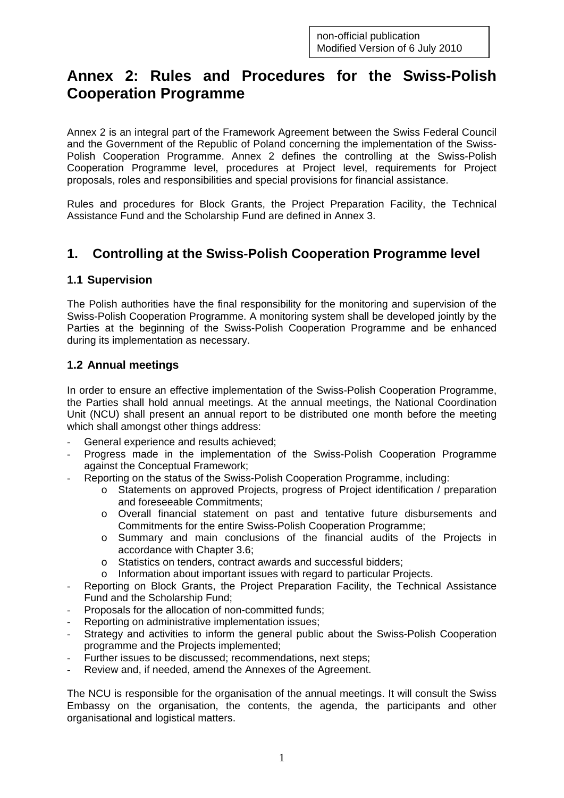# **Annex 2: Rules and Procedures for the Swiss-Polish Cooperation Programme**

Annex 2 is an integral part of the Framework Agreement between the Swiss Federal Council and the Government of the Republic of Poland concerning the implementation of the Swiss-Polish Cooperation Programme. Annex 2 defines the controlling at the Swiss-Polish Cooperation Programme level, procedures at Project level, requirements for Project proposals, roles and responsibilities and special provisions for financial assistance.

Rules and procedures for Block Grants, the Project Preparation Facility, the Technical Assistance Fund and the Scholarship Fund are defined in Annex 3.

# **1. Controlling at the Swiss-Polish Cooperation Programme level**

### **1.1 Supervision**

The Polish authorities have the final responsibility for the monitoring and supervision of the Swiss-Polish Cooperation Programme. A monitoring system shall be developed jointly by the Parties at the beginning of the Swiss-Polish Cooperation Programme and be enhanced during its implementation as necessary.

### **1.2 Annual meetings**

In order to ensure an effective implementation of the Swiss-Polish Cooperation Programme, the Parties shall hold annual meetings. At the annual meetings, the National Coordination Unit (NCU) shall present an annual report to be distributed one month before the meeting which shall amongst other things address:

- General experience and results achieved;
- Progress made in the implementation of the Swiss-Polish Cooperation Programme against the Conceptual Framework;
- Reporting on the status of the Swiss-Polish Cooperation Programme, including:
	- o Statements on approved Projects, progress of Project identification / preparation and foreseeable Commitments;
	- o Overall financial statement on past and tentative future disbursements and Commitments for the entire Swiss-Polish Cooperation Programme;
	- o Summary and main conclusions of the financial audits of the Projects in accordance with Chapter 3.6;
	- o Statistics on tenders, contract awards and successful bidders;
	- o Information about important issues with regard to particular Projects.
- Reporting on Block Grants, the Project Preparation Facility, the Technical Assistance Fund and the Scholarship Fund;
- Proposals for the allocation of non-committed funds:
- Reporting on administrative implementation issues;
- Strategy and activities to inform the general public about the Swiss-Polish Cooperation programme and the Projects implemented;
- Further issues to be discussed; recommendations, next steps;
- Review and, if needed, amend the Annexes of the Agreement.

The NCU is responsible for the organisation of the annual meetings. It will consult the Swiss Embassy on the organisation, the contents, the agenda, the participants and other organisational and logistical matters.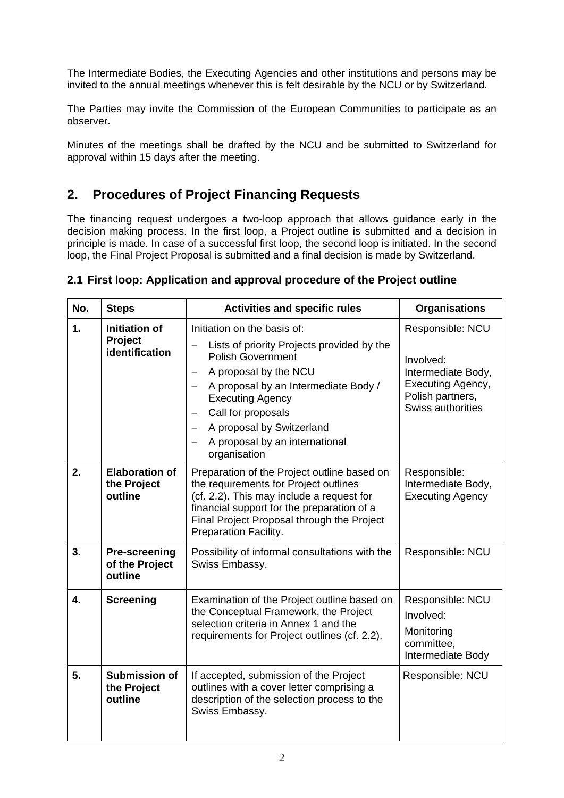The Intermediate Bodies, the Executing Agencies and other institutions and persons may be invited to the annual meetings whenever this is felt desirable by the NCU or by Switzerland.

The Parties may invite the Commission of the European Communities to participate as an observer.

Minutes of the meetings shall be drafted by the NCU and be submitted to Switzerland for approval within 15 days after the meeting.

## **2. Procedures of Project Financing Requests**

The financing request undergoes a two-loop approach that allows guidance early in the decision making process. In the first loop, a Project outline is submitted and a decision in principle is made. In case of a successful first loop, the second loop is initiated. In the second loop, the Final Project Proposal is submitted and a final decision is made by Switzerland.

| No. | <b>Steps</b>                                             | <b>Activities and specific rules</b>                                                                                                                                                                                                                                                                                                                                                       | <b>Organisations</b>                                                                                                     |
|-----|----------------------------------------------------------|--------------------------------------------------------------------------------------------------------------------------------------------------------------------------------------------------------------------------------------------------------------------------------------------------------------------------------------------------------------------------------------------|--------------------------------------------------------------------------------------------------------------------------|
| 1.  | <b>Initiation of</b><br><b>Project</b><br>identification | Initiation on the basis of:<br>Lists of priority Projects provided by the<br><b>Polish Government</b><br>A proposal by the NCU<br>$\overline{\phantom{m}}$<br>A proposal by an Intermediate Body /<br>$\overline{\phantom{0}}$<br><b>Executing Agency</b><br>Call for proposals<br>A proposal by Switzerland<br>$\overline{\phantom{m}}$<br>A proposal by an international<br>organisation | Responsible: NCU<br>Involved:<br>Intermediate Body,<br>Executing Agency,<br>Polish partners,<br><b>Swiss authorities</b> |
| 2.  | <b>Elaboration of</b><br>the Project<br>outline          | Preparation of the Project outline based on<br>the requirements for Project outlines<br>(cf. 2.2). This may include a request for<br>financial support for the preparation of a<br>Final Project Proposal through the Project<br>Preparation Facility.                                                                                                                                     | Responsible:<br>Intermediate Body,<br><b>Executing Agency</b>                                                            |
| 3.  | <b>Pre-screening</b><br>of the Project<br>outline        | Possibility of informal consultations with the<br>Swiss Embassy.                                                                                                                                                                                                                                                                                                                           | Responsible: NCU                                                                                                         |
| 4.  | <b>Screening</b>                                         | Examination of the Project outline based on<br>the Conceptual Framework, the Project<br>selection criteria in Annex 1 and the<br>requirements for Project outlines (cf. 2.2).                                                                                                                                                                                                              | Responsible: NCU<br>Involved:<br>Monitoring<br>committee,<br>Intermediate Body                                           |
| 5.  | <b>Submission of</b><br>the Project<br>outline           | If accepted, submission of the Project<br>outlines with a cover letter comprising a<br>description of the selection process to the<br>Swiss Embassy.                                                                                                                                                                                                                                       | Responsible: NCU                                                                                                         |

#### **2.1 First loop: Application and approval procedure of the Project outline**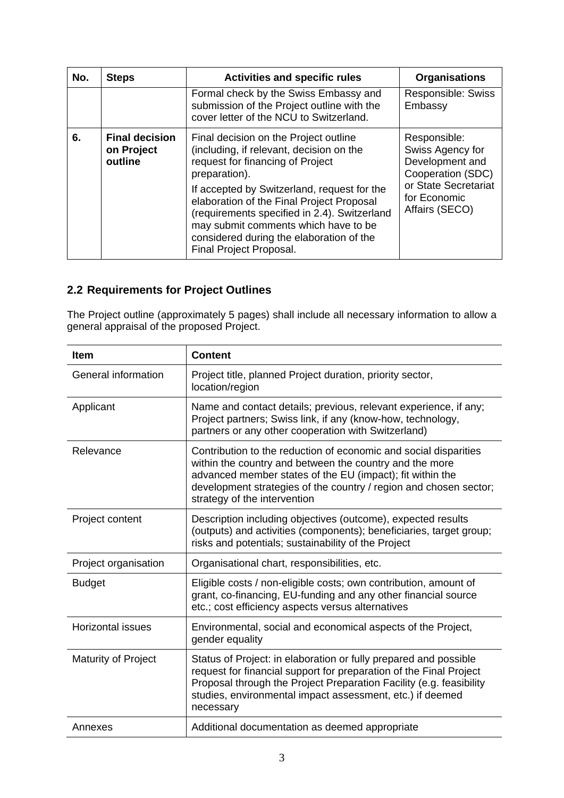| No. | <b>Steps</b>                                   | <b>Activities and specific rules</b>                                                                                                                                                                                                                                                                                                                                                              | <b>Organisations</b>                                                                                                               |
|-----|------------------------------------------------|---------------------------------------------------------------------------------------------------------------------------------------------------------------------------------------------------------------------------------------------------------------------------------------------------------------------------------------------------------------------------------------------------|------------------------------------------------------------------------------------------------------------------------------------|
|     |                                                | Formal check by the Swiss Embassy and<br>submission of the Project outline with the<br>cover letter of the NCU to Switzerland.                                                                                                                                                                                                                                                                    | <b>Responsible: Swiss</b><br>Embassy                                                                                               |
| 6.  | <b>Final decision</b><br>on Project<br>outline | Final decision on the Project outline<br>(including, if relevant, decision on the<br>request for financing of Project<br>preparation).<br>If accepted by Switzerland, request for the<br>elaboration of the Final Project Proposal<br>(requirements specified in 2.4). Switzerland<br>may submit comments which have to be<br>considered during the elaboration of the<br>Final Project Proposal. | Responsible:<br>Swiss Agency for<br>Development and<br>Cooperation (SDC)<br>or State Secretariat<br>for Economic<br>Affairs (SECO) |

## **2.2 Requirements for Project Outlines**

The Project outline (approximately 5 pages) shall include all necessary information to allow a general appraisal of the proposed Project.

| <b>Item</b>              | <b>Content</b>                                                                                                                                                                                                                                                                                |  |
|--------------------------|-----------------------------------------------------------------------------------------------------------------------------------------------------------------------------------------------------------------------------------------------------------------------------------------------|--|
| General information      | Project title, planned Project duration, priority sector,<br>location/region                                                                                                                                                                                                                  |  |
| Applicant                | Name and contact details; previous, relevant experience, if any;<br>Project partners; Swiss link, if any (know-how, technology,<br>partners or any other cooperation with Switzerland)                                                                                                        |  |
| Relevance                | Contribution to the reduction of economic and social disparities<br>within the country and between the country and the more<br>advanced member states of the EU (impact); fit within the<br>development strategies of the country / region and chosen sector;<br>strategy of the intervention |  |
| Project content          | Description including objectives (outcome), expected results<br>(outputs) and activities (components); beneficiaries, target group;<br>risks and potentials; sustainability of the Project                                                                                                    |  |
| Project organisation     | Organisational chart, responsibilities, etc.                                                                                                                                                                                                                                                  |  |
| <b>Budget</b>            | Eligible costs / non-eligible costs; own contribution, amount of<br>grant, co-financing, EU-funding and any other financial source<br>etc.; cost efficiency aspects versus alternatives                                                                                                       |  |
| <b>Horizontal issues</b> | Environmental, social and economical aspects of the Project,<br>gender equality                                                                                                                                                                                                               |  |
| Maturity of Project      | Status of Project: in elaboration or fully prepared and possible<br>request for financial support for preparation of the Final Project<br>Proposal through the Project Preparation Facility (e.g. feasibility<br>studies, environmental impact assessment, etc.) if deemed<br>necessary       |  |
| Annexes                  | Additional documentation as deemed appropriate                                                                                                                                                                                                                                                |  |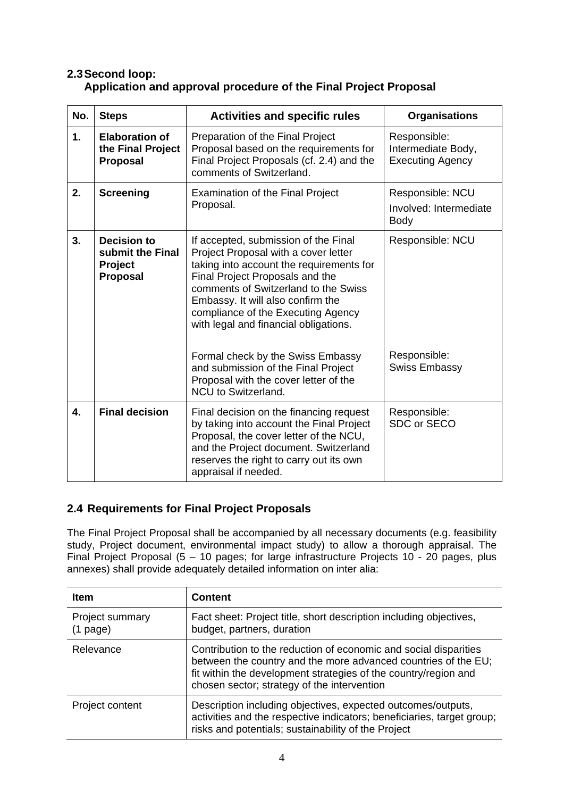### **2.3 Second loop: Application and approval procedure of the Final Project Proposal**

| No. | <b>Steps</b>                                                         | <b>Activities and specific rules</b>                                                                                                                                                                                                                                                                                    | <b>Organisations</b>                                          |
|-----|----------------------------------------------------------------------|-------------------------------------------------------------------------------------------------------------------------------------------------------------------------------------------------------------------------------------------------------------------------------------------------------------------------|---------------------------------------------------------------|
| 1.  | <b>Elaboration of</b><br>the Final Project<br>Proposal               | Preparation of the Final Project<br>Proposal based on the requirements for<br>Final Project Proposals (cf. 2.4) and the<br>comments of Switzerland.                                                                                                                                                                     | Responsible:<br>Intermediate Body,<br><b>Executing Agency</b> |
| 2.  | <b>Screening</b>                                                     | <b>Examination of the Final Project</b><br>Proposal.                                                                                                                                                                                                                                                                    | Responsible: NCU                                              |
|     |                                                                      |                                                                                                                                                                                                                                                                                                                         | Involved: Intermediate<br><b>Body</b>                         |
| 3.  | <b>Decision to</b><br>submit the Final<br>Project<br><b>Proposal</b> | If accepted, submission of the Final<br>Project Proposal with a cover letter<br>taking into account the requirements for<br>Final Project Proposals and the<br>comments of Switzerland to the Swiss<br>Embassy. It will also confirm the<br>compliance of the Executing Agency<br>with legal and financial obligations. | Responsible: NCU                                              |
|     |                                                                      | Formal check by the Swiss Embassy<br>and submission of the Final Project<br>Proposal with the cover letter of the<br><b>NCU to Switzerland.</b>                                                                                                                                                                         | Responsible:<br><b>Swiss Embassy</b>                          |
| 4.  | <b>Final decision</b>                                                | Final decision on the financing request<br>by taking into account the Final Project<br>Proposal, the cover letter of the NCU,<br>and the Project document. Switzerland<br>reserves the right to carry out its own<br>appraisal if needed.                                                                               | Responsible:<br>SDC or SECO                                   |

## **2.4 Requirements for Final Project Proposals**

The Final Project Proposal shall be accompanied by all necessary documents (e.g. feasibility study, Project document, environmental impact study) to allow a thorough appraisal. The Final Project Proposal (5 – 10 pages; for large infrastructure Projects 10 - 20 pages, plus annexes) shall provide adequately detailed information on inter alia:

| <b>Item</b>                   | <b>Content</b>                                                                                                                                                                                                                                       |
|-------------------------------|------------------------------------------------------------------------------------------------------------------------------------------------------------------------------------------------------------------------------------------------------|
| Project summary<br>$(1$ page) | Fact sheet: Project title, short description including objectives,<br>budget, partners, duration                                                                                                                                                     |
| Relevance                     | Contribution to the reduction of economic and social disparities<br>between the country and the more advanced countries of the EU;<br>fit within the development strategies of the country/region and<br>chosen sector; strategy of the intervention |
| Project content               | Description including objectives, expected outcomes/outputs,<br>activities and the respective indicators; beneficiaries, target group;<br>risks and potentials; sustainability of the Project                                                        |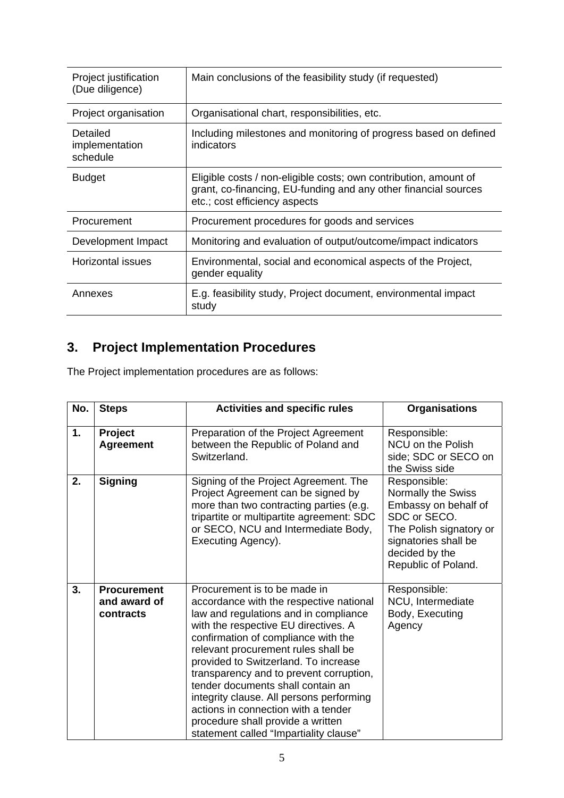| Project justification<br>(Due diligence)                             | Main conclusions of the feasibility study (if requested)                                                                                                             |  |
|----------------------------------------------------------------------|----------------------------------------------------------------------------------------------------------------------------------------------------------------------|--|
| Organisational chart, responsibilities, etc.<br>Project organisation |                                                                                                                                                                      |  |
| Detailed<br>implementation<br>schedule                               | Including milestones and monitoring of progress based on defined<br>indicators                                                                                       |  |
| <b>Budget</b>                                                        | Eligible costs / non-eligible costs; own contribution, amount of<br>grant, co-financing, EU-funding and any other financial sources<br>etc.; cost efficiency aspects |  |
| Procurement                                                          | Procurement procedures for goods and services                                                                                                                        |  |
| Development Impact                                                   | Monitoring and evaluation of output/outcome/impact indicators                                                                                                        |  |
| Horizontal issues                                                    | Environmental, social and economical aspects of the Project,<br>gender equality                                                                                      |  |
| Annexes                                                              | E.g. feasibility study, Project document, environmental impact<br>study                                                                                              |  |

# **3. Project Implementation Procedures**

The Project implementation procedures are as follows:

| No. | <b>Steps</b>                                    | <b>Activities and specific rules</b>                                                                                                                                                                                                                                                                                                                                                                                                                                                                                             | <b>Organisations</b>                                                                                                                                                   |
|-----|-------------------------------------------------|----------------------------------------------------------------------------------------------------------------------------------------------------------------------------------------------------------------------------------------------------------------------------------------------------------------------------------------------------------------------------------------------------------------------------------------------------------------------------------------------------------------------------------|------------------------------------------------------------------------------------------------------------------------------------------------------------------------|
| 1.  | Project<br><b>Agreement</b>                     | Preparation of the Project Agreement<br>between the Republic of Poland and<br>Switzerland.                                                                                                                                                                                                                                                                                                                                                                                                                                       | Responsible:<br>NCU on the Polish<br>side; SDC or SECO on<br>the Swiss side                                                                                            |
| 2.  | <b>Signing</b>                                  | Signing of the Project Agreement. The<br>Project Agreement can be signed by<br>more than two contracting parties (e.g.<br>tripartite or multipartite agreement: SDC<br>or SECO, NCU and Intermediate Body,<br>Executing Agency).                                                                                                                                                                                                                                                                                                 | Responsible:<br>Normally the Swiss<br>Embassy on behalf of<br>SDC or SECO.<br>The Polish signatory or<br>signatories shall be<br>decided by the<br>Republic of Poland. |
| 3.  | <b>Procurement</b><br>and award of<br>contracts | Procurement is to be made in<br>accordance with the respective national<br>law and regulations and in compliance<br>with the respective EU directives. A<br>confirmation of compliance with the<br>relevant procurement rules shall be<br>provided to Switzerland. To increase<br>transparency and to prevent corruption,<br>tender documents shall contain an<br>integrity clause. All persons performing<br>actions in connection with a tender<br>procedure shall provide a written<br>statement called "Impartiality clause" | Responsible:<br>NCU, Intermediate<br>Body, Executing<br>Agency                                                                                                         |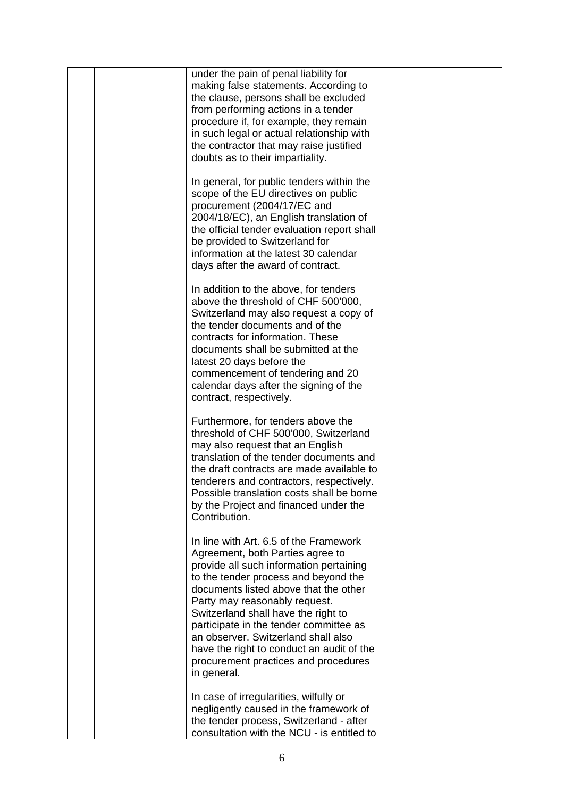| under the pain of penal liability for<br>making false statements. According to<br>the clause, persons shall be excluded<br>from performing actions in a tender<br>procedure if, for example, they remain<br>in such legal or actual relationship with<br>the contractor that may raise justified<br>doubts as to their impartiality.                                                                                                                                |  |
|---------------------------------------------------------------------------------------------------------------------------------------------------------------------------------------------------------------------------------------------------------------------------------------------------------------------------------------------------------------------------------------------------------------------------------------------------------------------|--|
| In general, for public tenders within the<br>scope of the EU directives on public<br>procurement (2004/17/EC and<br>2004/18/EC), an English translation of<br>the official tender evaluation report shall<br>be provided to Switzerland for<br>information at the latest 30 calendar<br>days after the award of contract.                                                                                                                                           |  |
| In addition to the above, for tenders<br>above the threshold of CHF 500'000,<br>Switzerland may also request a copy of<br>the tender documents and of the<br>contracts for information. These<br>documents shall be submitted at the<br>latest 20 days before the<br>commencement of tendering and 20<br>calendar days after the signing of the<br>contract, respectively.                                                                                          |  |
| Furthermore, for tenders above the<br>threshold of CHF 500'000, Switzerland<br>may also request that an English<br>translation of the tender documents and<br>the draft contracts are made available to<br>tenderers and contractors, respectively.<br>Possible translation costs shall be borne<br>by the Project and financed under the<br>Contribution.                                                                                                          |  |
| In line with Art. 6.5 of the Framework<br>Agreement, both Parties agree to<br>provide all such information pertaining<br>to the tender process and beyond the<br>documents listed above that the other<br>Party may reasonably request.<br>Switzerland shall have the right to<br>participate in the tender committee as<br>an observer. Switzerland shall also<br>have the right to conduct an audit of the<br>procurement practices and procedures<br>in general. |  |
| In case of irregularities, wilfully or<br>negligently caused in the framework of<br>the tender process, Switzerland - after<br>consultation with the NCU - is entitled to                                                                                                                                                                                                                                                                                           |  |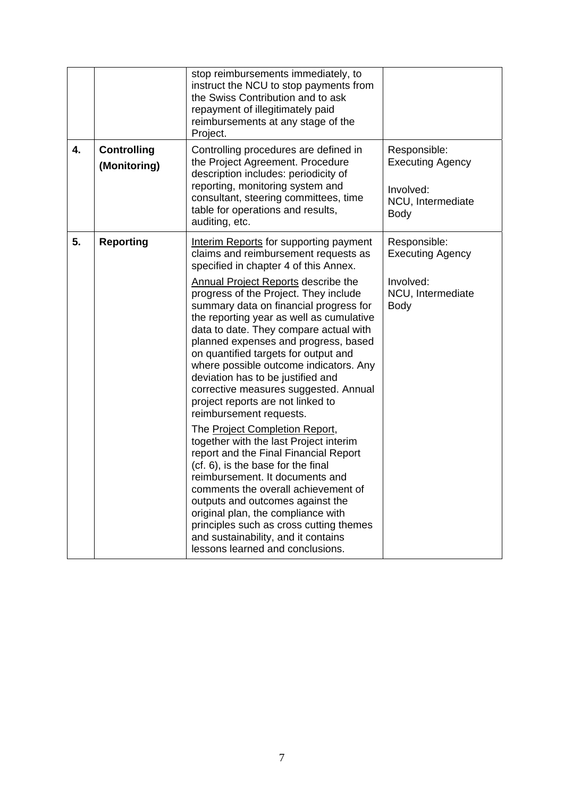|    |                                    | stop reimbursements immediately, to<br>instruct the NCU to stop payments from<br>the Swiss Contribution and to ask<br>repayment of illegitimately paid<br>reimbursements at any stage of the<br>Project.                                                                                                                                                                                                                                                                                    |                                                                                   |
|----|------------------------------------|---------------------------------------------------------------------------------------------------------------------------------------------------------------------------------------------------------------------------------------------------------------------------------------------------------------------------------------------------------------------------------------------------------------------------------------------------------------------------------------------|-----------------------------------------------------------------------------------|
| 4. | <b>Controlling</b><br>(Monitoring) | Controlling procedures are defined in<br>the Project Agreement. Procedure<br>description includes: periodicity of<br>reporting, monitoring system and<br>consultant, steering committees, time<br>table for operations and results,<br>auditing, etc.                                                                                                                                                                                                                                       | Responsible:<br><b>Executing Agency</b><br>Involved:<br>NCU, Intermediate<br>Body |
| 5. | <b>Reporting</b>                   | Interim Reports for supporting payment<br>claims and reimbursement requests as<br>specified in chapter 4 of this Annex.                                                                                                                                                                                                                                                                                                                                                                     | Responsible:<br><b>Executing Agency</b>                                           |
|    |                                    | <b>Annual Project Reports describe the</b><br>progress of the Project. They include<br>summary data on financial progress for<br>the reporting year as well as cumulative<br>data to date. They compare actual with<br>planned expenses and progress, based<br>on quantified targets for output and<br>where possible outcome indicators. Any<br>deviation has to be justified and<br>corrective measures suggested. Annual<br>project reports are not linked to<br>reimbursement requests. | Involved:<br>NCU, Intermediate<br><b>Body</b>                                     |
|    |                                    | The Project Completion Report,<br>together with the last Project interim<br>report and the Final Financial Report<br>(cf. 6), is the base for the final<br>reimbursement. It documents and<br>comments the overall achievement of<br>outputs and outcomes against the<br>original plan, the compliance with<br>principles such as cross cutting themes<br>and sustainability, and it contains<br>lessons learned and conclusions.                                                           |                                                                                   |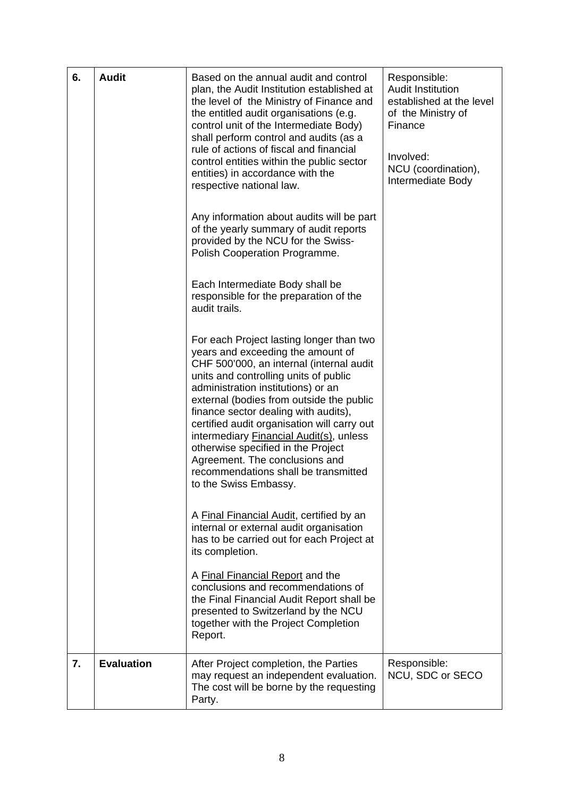| 6.               | <b>Audit</b>      | Based on the annual audit and control<br>plan, the Audit Institution established at<br>the level of the Ministry of Finance and<br>the entitled audit organisations (e.g.<br>control unit of the Intermediate Body)<br>shall perform control and audits (as a<br>rule of actions of fiscal and financial<br>control entities within the public sector<br>entities) in accordance with the<br>respective national law.<br>Any information about audits will be part<br>of the yearly summary of audit reports<br>provided by the NCU for the Swiss-<br>Polish Cooperation Programme.<br>Each Intermediate Body shall be<br>responsible for the preparation of the<br>audit trails.<br>For each Project lasting longer than two<br>years and exceeding the amount of<br>CHF 500'000, an internal (internal audit<br>units and controlling units of public<br>administration institutions) or an<br>external (bodies from outside the public<br>finance sector dealing with audits),<br>certified audit organisation will carry out<br>intermediary Financial Audit(s), unless<br>otherwise specified in the Project<br>Agreement. The conclusions and<br>recommendations shall be transmitted<br>to the Swiss Embassy.<br>A Final Financial Audit, certified by an<br>internal or external audit organisation<br>has to be carried out for each Project at<br>its completion.<br>A Final Financial Report and the<br>conclusions and recommendations of<br>the Final Financial Audit Report shall be<br>presented to Switzerland by the NCU<br>together with the Project Completion<br>Report. | Responsible:<br><b>Audit Institution</b><br>established at the level<br>of the Ministry of<br>Finance<br>Involved:<br>NCU (coordination),<br>Intermediate Body |
|------------------|-------------------|----------------------------------------------------------------------------------------------------------------------------------------------------------------------------------------------------------------------------------------------------------------------------------------------------------------------------------------------------------------------------------------------------------------------------------------------------------------------------------------------------------------------------------------------------------------------------------------------------------------------------------------------------------------------------------------------------------------------------------------------------------------------------------------------------------------------------------------------------------------------------------------------------------------------------------------------------------------------------------------------------------------------------------------------------------------------------------------------------------------------------------------------------------------------------------------------------------------------------------------------------------------------------------------------------------------------------------------------------------------------------------------------------------------------------------------------------------------------------------------------------------------------------------------------------------------------------------------------|----------------------------------------------------------------------------------------------------------------------------------------------------------------|
| $\overline{7}$ . | <b>Evaluation</b> | After Project completion, the Parties<br>may request an independent evaluation.<br>The cost will be borne by the requesting<br>Party.                                                                                                                                                                                                                                                                                                                                                                                                                                                                                                                                                                                                                                                                                                                                                                                                                                                                                                                                                                                                                                                                                                                                                                                                                                                                                                                                                                                                                                                        | Responsible:<br>NCU, SDC or SECO                                                                                                                               |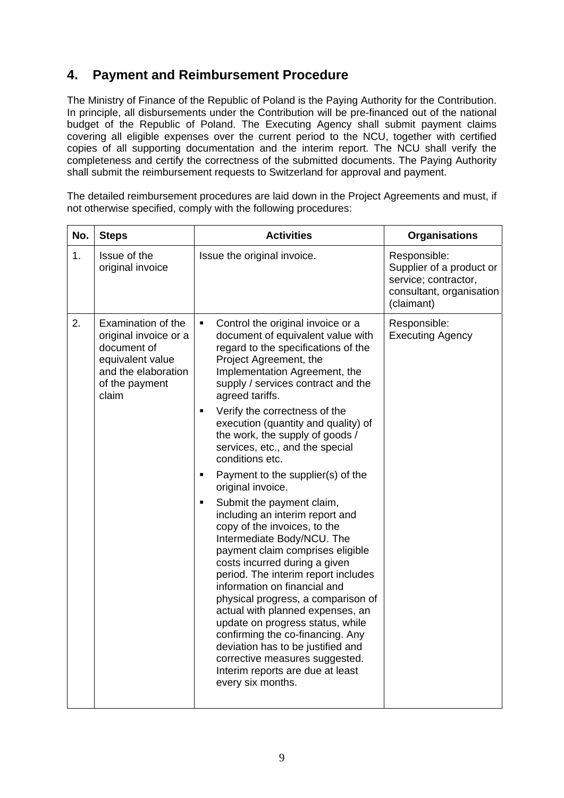# **4. Payment and Reimbursement Procedure**

The Ministry of Finance of the Republic of Poland is the Paying Authority for the Contribution. In principle, all disbursements under the Contribution will be pre-financed out of the national budget of the Republic of Poland. The Executing Agency shall submit payment claims covering all eligible expenses over the current period to the NCU, together with certified copies of all supporting documentation and the interim report. The NCU shall verify the completeness and certify the correctness of the submitted documents. The Paying Authority shall submit the reimbursement requests to Switzerland for approval and payment.

The detailed reimbursement procedures are laid down in the Project Agreements and must, if not otherwise specified, comply with the following procedures:

| No. | <b>Steps</b>                                                                                                                     | <b>Activities</b>                                                                                                                                                                                                                                                                                                                                                                                                                                                                                                                                             | <b>Organisations</b>                                                                                       |
|-----|----------------------------------------------------------------------------------------------------------------------------------|---------------------------------------------------------------------------------------------------------------------------------------------------------------------------------------------------------------------------------------------------------------------------------------------------------------------------------------------------------------------------------------------------------------------------------------------------------------------------------------------------------------------------------------------------------------|------------------------------------------------------------------------------------------------------------|
| 1.  | Issue of the<br>original invoice                                                                                                 | Issue the original invoice.                                                                                                                                                                                                                                                                                                                                                                                                                                                                                                                                   | Responsible:<br>Supplier of a product or<br>service; contractor,<br>consultant, organisation<br>(claimant) |
| 2.  | Examination of the<br>original invoice or a<br>document of<br>equivalent value<br>and the elaboration<br>of the payment<br>claim | Control the original invoice or a<br>٠<br>document of equivalent value with<br>regard to the specifications of the<br>Project Agreement, the<br>Implementation Agreement, the<br>supply / services contract and the<br>agreed tariffs.                                                                                                                                                                                                                                                                                                                        | Responsible:<br><b>Executing Agency</b>                                                                    |
|     |                                                                                                                                  | Verify the correctness of the<br>п<br>execution (quantity and quality) of<br>the work, the supply of goods /<br>services, etc., and the special<br>conditions etc.                                                                                                                                                                                                                                                                                                                                                                                            |                                                                                                            |
|     |                                                                                                                                  | Payment to the supplier(s) of the<br>п<br>original invoice.                                                                                                                                                                                                                                                                                                                                                                                                                                                                                                   |                                                                                                            |
|     |                                                                                                                                  | Submit the payment claim,<br>п<br>including an interim report and<br>copy of the invoices, to the<br>Intermediate Body/NCU. The<br>payment claim comprises eligible<br>costs incurred during a given<br>period. The interim report includes<br>information on financial and<br>physical progress, a comparison of<br>actual with planned expenses, an<br>update on progress status, while<br>confirming the co-financing. Any<br>deviation has to be justified and<br>corrective measures suggested.<br>Interim reports are due at least<br>every six months. |                                                                                                            |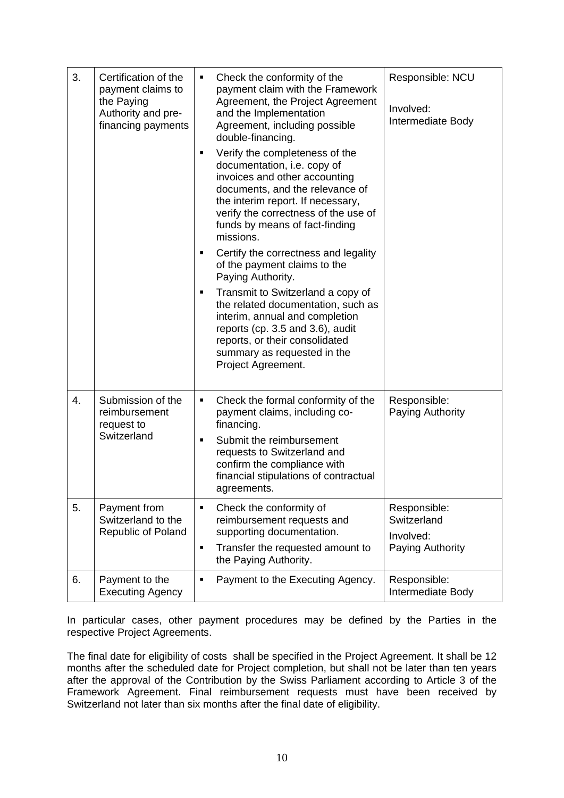| 3. | Certification of the<br>payment claims to<br>the Paying<br>Authority and pre-<br>financing payments | Check the conformity of the<br>п<br>payment claim with the Framework<br>Agreement, the Project Agreement<br>and the Implementation<br>Agreement, including possible<br>double-financing.<br>Verify the completeness of the<br>٠<br>documentation, i.e. copy of<br>invoices and other accounting<br>documents, and the relevance of<br>the interim report. If necessary,<br>verify the correctness of the use of<br>funds by means of fact-finding<br>missions.<br>Certify the correctness and legality<br>٠<br>of the payment claims to the<br>Paying Authority.<br>Transmit to Switzerland a copy of<br>٠<br>the related documentation, such as<br>interim, annual and completion<br>reports (cp. 3.5 and 3.6), audit<br>reports, or their consolidated<br>summary as requested in the<br>Project Agreement. | Responsible: NCU<br>Involved:<br>Intermediate Body           |
|----|-----------------------------------------------------------------------------------------------------|---------------------------------------------------------------------------------------------------------------------------------------------------------------------------------------------------------------------------------------------------------------------------------------------------------------------------------------------------------------------------------------------------------------------------------------------------------------------------------------------------------------------------------------------------------------------------------------------------------------------------------------------------------------------------------------------------------------------------------------------------------------------------------------------------------------|--------------------------------------------------------------|
| 4. | Submission of the<br>reimbursement<br>request to<br>Switzerland                                     | Check the formal conformity of the<br>٠<br>payment claims, including co-<br>financing.<br>Submit the reimbursement<br>$\blacksquare$<br>requests to Switzerland and<br>confirm the compliance with<br>financial stipulations of contractual<br>agreements.                                                                                                                                                                                                                                                                                                                                                                                                                                                                                                                                                    | Responsible:<br>Paying Authority                             |
| 5. | Payment from<br>Switzerland to the<br><b>Republic of Poland</b>                                     | Check the conformity of<br>$\blacksquare$<br>reimbursement requests and<br>supporting documentation.<br>Transfer the requested amount to<br>٠<br>the Paying Authority.                                                                                                                                                                                                                                                                                                                                                                                                                                                                                                                                                                                                                                        | Responsible:<br>Switzerland<br>Involved:<br>Paying Authority |
| 6. | Payment to the<br><b>Executing Agency</b>                                                           | Payment to the Executing Agency.<br>٠                                                                                                                                                                                                                                                                                                                                                                                                                                                                                                                                                                                                                                                                                                                                                                         | Responsible:<br>Intermediate Body                            |

In particular cases, other payment procedures may be defined by the Parties in the respective Project Agreements.

The final date for eligibility of costs shall be specified in the Project Agreement. It shall be 12 months after the scheduled date for Project completion, but shall not be later than ten years after the approval of the Contribution by the Swiss Parliament according to Article 3 of the Framework Agreement. Final reimbursement requests must have been received by Switzerland not later than six months after the final date of eligibility.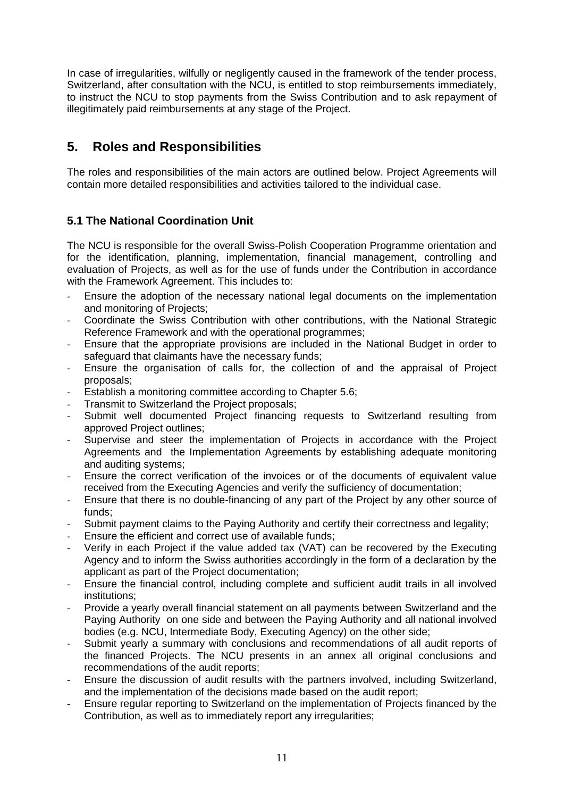In case of irregularities, wilfully or negligently caused in the framework of the tender process, Switzerland, after consultation with the NCU, is entitled to stop reimbursements immediately, to instruct the NCU to stop payments from the Swiss Contribution and to ask repayment of illegitimately paid reimbursements at any stage of the Project.

# **5. Roles and Responsibilities**

The roles and responsibilities of the main actors are outlined below. Project Agreements will contain more detailed responsibilities and activities tailored to the individual case.

## **5.1 The National Coordination Unit**

The NCU is responsible for the overall Swiss-Polish Cooperation Programme orientation and for the identification, planning, implementation, financial management, controlling and evaluation of Projects, as well as for the use of funds under the Contribution in accordance with the Framework Agreement. This includes to:

- Ensure the adoption of the necessary national legal documents on the implementation and monitoring of Projects;
- Coordinate the Swiss Contribution with other contributions, with the National Strategic Reference Framework and with the operational programmes;
- Ensure that the appropriate provisions are included in the National Budget in order to safeguard that claimants have the necessary funds;
- Ensure the organisation of calls for, the collection of and the appraisal of Project proposals;
- Establish a monitoring committee according to Chapter 5.6;
- Transmit to Switzerland the Project proposals;
- Submit well documented Project financing requests to Switzerland resulting from approved Project outlines;
- Supervise and steer the implementation of Projects in accordance with the Project Agreements and the Implementation Agreements by establishing adequate monitoring and auditing systems;
- Ensure the correct verification of the invoices or of the documents of equivalent value received from the Executing Agencies and verify the sufficiency of documentation;
- Ensure that there is no double-financing of any part of the Project by any other source of funds;
- Submit payment claims to the Paying Authority and certify their correctness and legality;
- Ensure the efficient and correct use of available funds;
- Verify in each Project if the value added tax (VAT) can be recovered by the Executing Agency and to inform the Swiss authorities accordingly in the form of a declaration by the applicant as part of the Project documentation;
- Ensure the financial control, including complete and sufficient audit trails in all involved institutions;
- Provide a yearly overall financial statement on all payments between Switzerland and the Paying Authority on one side and between the Paying Authority and all national involved bodies (e.g. NCU, Intermediate Body, Executing Agency) on the other side;
- Submit yearly a summary with conclusions and recommendations of all audit reports of the financed Projects. The NCU presents in an annex all original conclusions and recommendations of the audit reports;
- Ensure the discussion of audit results with the partners involved, including Switzerland, and the implementation of the decisions made based on the audit report;
- Ensure regular reporting to Switzerland on the implementation of Projects financed by the Contribution, as well as to immediately report any irregularities;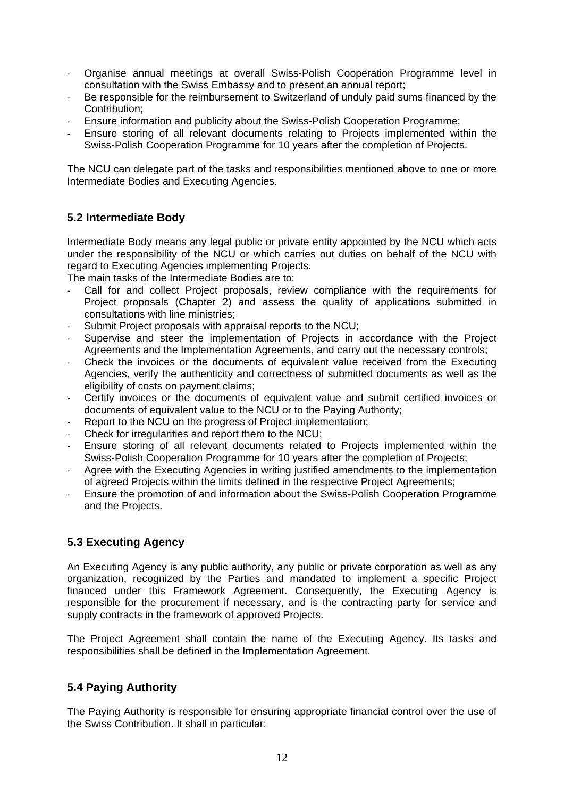- Organise annual meetings at overall Swiss-Polish Cooperation Programme level in consultation with the Swiss Embassy and to present an annual report;
- Be responsible for the reimbursement to Switzerland of unduly paid sums financed by the Contribution;
- Ensure information and publicity about the Swiss-Polish Cooperation Programme;
- Ensure storing of all relevant documents relating to Projects implemented within the Swiss-Polish Cooperation Programme for 10 years after the completion of Projects.

The NCU can delegate part of the tasks and responsibilities mentioned above to one or more Intermediate Bodies and Executing Agencies.

#### **5.2 Intermediate Body**

Intermediate Body means any legal public or private entity appointed by the NCU which acts under the responsibility of the NCU or which carries out duties on behalf of the NCU with regard to Executing Agencies implementing Projects.

The main tasks of the Intermediate Bodies are to:

- Call for and collect Project proposals, review compliance with the requirements for Project proposals (Chapter 2) and assess the quality of applications submitted in consultations with line ministries;
- Submit Project proposals with appraisal reports to the NCU;
- Supervise and steer the implementation of Projects in accordance with the Project Agreements and the Implementation Agreements, and carry out the necessary controls;
- Check the invoices or the documents of equivalent value received from the Executing Agencies, verify the authenticity and correctness of submitted documents as well as the eligibility of costs on payment claims;
- Certify invoices or the documents of equivalent value and submit certified invoices or documents of equivalent value to the NCU or to the Paying Authority;
- Report to the NCU on the progress of Project implementation;
- Check for irregularities and report them to the NCU;
- Ensure storing of all relevant documents related to Projects implemented within the Swiss-Polish Cooperation Programme for 10 years after the completion of Projects;
- Agree with the Executing Agencies in writing justified amendments to the implementation of agreed Projects within the limits defined in the respective Project Agreements;
- Ensure the promotion of and information about the Swiss-Polish Cooperation Programme and the Projects.

#### **5.3 Executing Agency**

An Executing Agency is any public authority, any public or private corporation as well as any organization, recognized by the Parties and mandated to implement a specific Project financed under this Framework Agreement. Consequently, the Executing Agency is responsible for the procurement if necessary, and is the contracting party for service and supply contracts in the framework of approved Projects.

The Project Agreement shall contain the name of the Executing Agency. Its tasks and responsibilities shall be defined in the Implementation Agreement.

#### **5.4 Paying Authority**

The Paying Authority is responsible for ensuring appropriate financial control over the use of the Swiss Contribution. It shall in particular: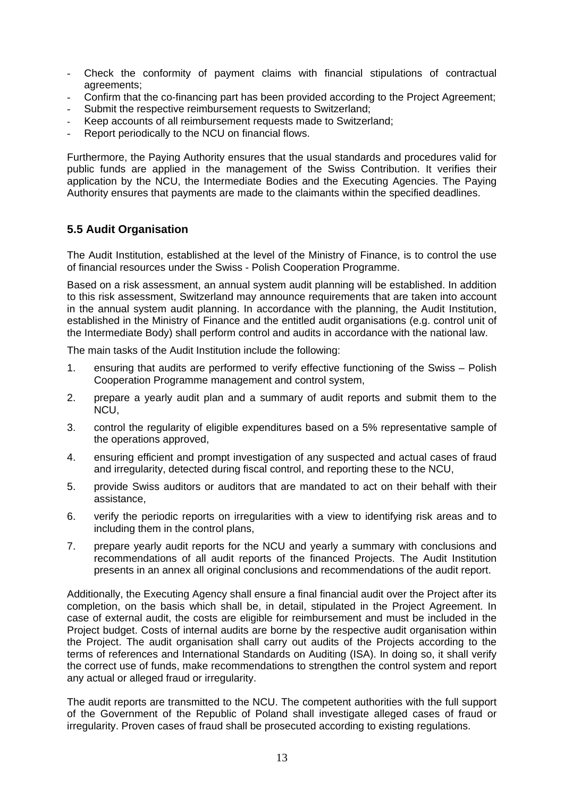- Check the conformity of payment claims with financial stipulations of contractual agreements;
- Confirm that the co-financing part has been provided according to the Project Agreement;
- Submit the respective reimbursement requests to Switzerland;
- Keep accounts of all reimbursement requests made to Switzerland;
- Report periodically to the NCU on financial flows.

Furthermore, the Paying Authority ensures that the usual standards and procedures valid for public funds are applied in the management of the Swiss Contribution. It verifies their application by the NCU, the Intermediate Bodies and the Executing Agencies. The Paying Authority ensures that payments are made to the claimants within the specified deadlines.

### **5.5 Audit Organisation**

The Audit Institution, established at the level of the Ministry of Finance, is to control the use of financial resources under the Swiss - Polish Cooperation Programme.

Based on a risk assessment, an annual system audit planning will be established. In addition to this risk assessment, Switzerland may announce requirements that are taken into account in the annual system audit planning. In accordance with the planning, the Audit Institution, established in the Ministry of Finance and the entitled audit organisations (e.g. control unit of the Intermediate Body) shall perform control and audits in accordance with the national law.

The main tasks of the Audit Institution include the following:

- 1. ensuring that audits are performed to verify effective functioning of the Swiss Polish Cooperation Programme management and control system,
- 2. prepare a yearly audit plan and a summary of audit reports and submit them to the NCU,
- 3. control the regularity of eligible expenditures based on a 5% representative sample of the operations approved,
- 4. ensuring efficient and prompt investigation of any suspected and actual cases of fraud and irregularity, detected during fiscal control, and reporting these to the NCU,
- 5. provide Swiss auditors or auditors that are mandated to act on their behalf with their assistance,
- 6. verify the periodic reports on irregularities with a view to identifying risk areas and to including them in the control plans,
- 7. prepare yearly audit reports for the NCU and yearly a summary with conclusions and recommendations of all audit reports of the financed Projects. The Audit Institution presents in an annex all original conclusions and recommendations of the audit report.

Additionally, the Executing Agency shall ensure a final financial audit over the Project after its completion, on the basis which shall be, in detail, stipulated in the Project Agreement. In case of external audit, the costs are eligible for reimbursement and must be included in the Project budget. Costs of internal audits are borne by the respective audit organisation within the Project. The audit organisation shall carry out audits of the Projects according to the terms of references and International Standards on Auditing (ISA). In doing so, it shall verify the correct use of funds, make recommendations to strengthen the control system and report any actual or alleged fraud or irregularity.

The audit reports are transmitted to the NCU. The competent authorities with the full support of the Government of the Republic of Poland shall investigate alleged cases of fraud or irregularity. Proven cases of fraud shall be prosecuted according to existing regulations.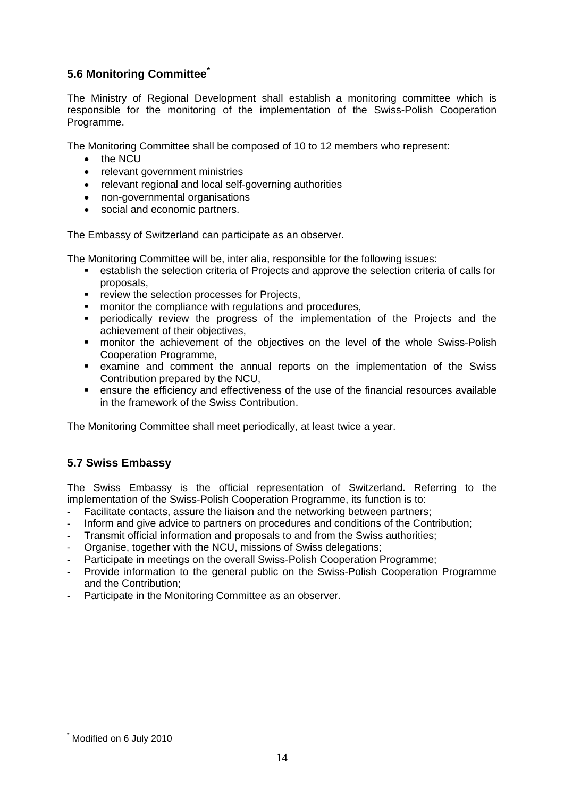## **5.6 Monitoring Committee[\\*](#page-13-0)**

The Ministry of Regional Development shall establish a monitoring committee which is responsible for the monitoring of the implementation of the Swiss-Polish Cooperation Programme.

The Monitoring Committee shall be composed of 10 to 12 members who represent:

- the NCU
- relevant government ministries
- relevant regional and local self-governing authorities
- non-governmental organisations
- social and economic partners.

The Embassy of Switzerland can participate as an observer.

The Monitoring Committee will be, inter alia, responsible for the following issues:

- establish the selection criteria of Projects and approve the selection criteria of calls for proposals,
- **F** review the selection processes for Projects,
- **number 1** monitor the compliance with regulations and procedures,
- **•** periodically review the progress of the implementation of the Projects and the achievement of their objectives,
- **EX monitor the achievement of the objectives on the level of the whole Swiss-Polish** Cooperation Programme,
- examine and comment the annual reports on the implementation of the Swiss Contribution prepared by the NCU,
- ensure the efficiency and effectiveness of the use of the financial resources available in the framework of the Swiss Contribution.

The Monitoring Committee shall meet periodically, at least twice a year.

#### **5.7 Swiss Embassy**

The Swiss Embassy is the official representation of Switzerland. Referring to the implementation of the Swiss-Polish Cooperation Programme, its function is to:

- Facilitate contacts, assure the liaison and the networking between partners;
- Inform and give advice to partners on procedures and conditions of the Contribution;
- Transmit official information and proposals to and from the Swiss authorities;
- Organise, together with the NCU, missions of Swiss delegations;
- Participate in meetings on the overall Swiss-Polish Cooperation Programme;
- Provide information to the general public on the Swiss-Polish Cooperation Programme and the Contribution;
- Participate in the Monitoring Committee as an observer.

1

<span id="page-13-0"></span><sup>\*</sup> Modified on 6 July 2010